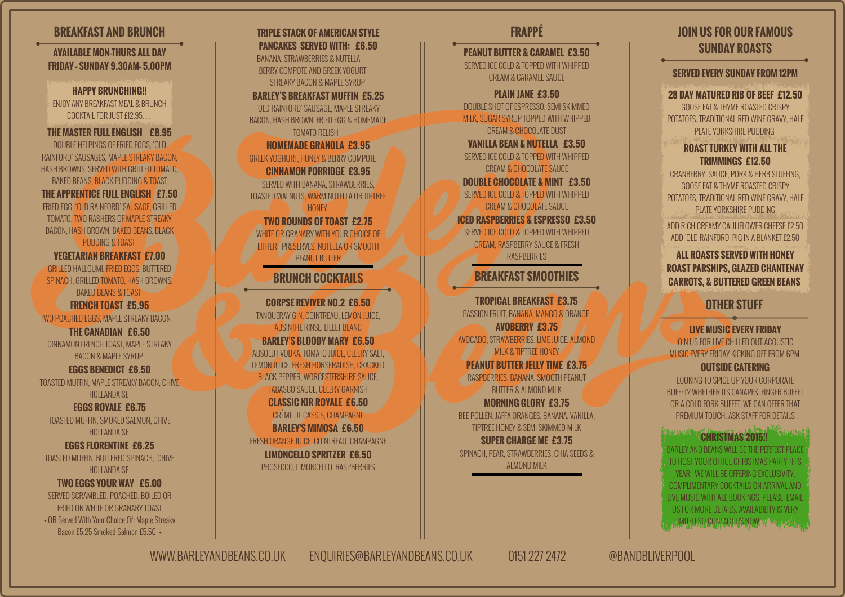# **JOIN US FOR OUR FAMOUS SUNDAY ROASTS**

#### **SERVED EVERY SUNDAY FROM 12PM**

#### **28 DAY MATURED RIB OF BEEF £12.50**

GOOSE FAT & THYME ROASTED CRISPY POTATOES, TRADITIONAL RED WINE GRAVY, HALF **PLATE YORKSHIRE PLIDDING** 

### **ROAST TURKEY WITH ALL THE TRIMMINGS £12.50**

CRANBERRY SAUCE, PORK & HERB STUFFING, GOOSE FAT & THYME ROASTED CRISPY POTATOES, TRADITIONAL RED WINE GRAVY, HALF PLATE YORKSHIRE PUDDING

### **ALL ROASTS SERVED WITH HONEY ROAST PARSNIPS, GLAZED CHANTENAY CARROTS, & BUTTERED GREEN BEANS**

### **CHRISTMAS 2015!!**  BARLEY AND BEANS WILL BE THE PERFECT PLACE TO HOST YOUR OFFICE CHRISTMAS PARTY THIS YEAR. WE WILL BE OFFERING EXCLUSIVITY, COMPLIMENTARY COCKTAILS ON ARRIVAL AND LIVE MUSIC WITH ALL BOOKINGS. PLEASE EMAIL US FOR MORE DETAILS. AVAILABILITY IS VERY

LUMITED SO CONTACT US NOW!!// WILL SWAMP

# **OTHER STUFF LIVE MUSIC EVERY FRIDAY** JOIN US FOR LIVE CHILLED OUT ACOUSTIC MUSIC EVERY FRIDAY KICKING OFF FROM 6PM

# **OUTSIDE CATERING**

LOOKING TO SPICE UP YOUR CORPORATE BUFFET? WHETHER ITS CANAPES, FINGER BUFFET OR A COLD FORK BUFFET, WE CAN OFFER THAT PREMIUM TOUCH. ASK STAFF FOR DETAILS

ADD RICH CREAMY CAULIFLOWER CHEESE £2.50 ADD 'OLD RAINFORD' PIG IN A BLANKET £2.50

# **BREAKFAST SMOOTHIES**

**FRAPPÉ**

**PEANUT BUTTER & CARAMEL £3.50** SERVED ICE COLD & TOPPED WITH WHIPPED CREAM & CARAMEL SAUCE **PLAIN JANE £3.50** DOUBLE SHOT OF ESPRESSO, SEMI SKIMMED MILK, SUGAR SYRUP TOPPED WITH WHIPPED CREAM & CHOCOLATE DUST **VANILLA BEAN & NUTELLA £3.50** SERVED ICE COLD & TOPPED WITH WHIPPED CREAM & CHOCOLATE SAUCE **DOUBLE CHOCOLATE & MINT £3.50** SERVED ICE COLD & TOPPED WITH WHIPPED CREAM & CHOCOLATE SAUCE **ICED RASPBERRIES & ESPRESSO £3.50** SERVED ICE COLD & TOPPED WITH WHIPPED CREAM, RASPBERRY SAUCE & FRESH **RASPBERRIES** 

**TROPICAL BREAKFAST £3.75** PASSION FRUIT, BANANA, MANGO & ORANGE **AVOBERRY £3.75** AVOCADO, STRAWBERRIES, LIME JUICE, ALMOND **MILK & TIPTREE HONEY PEANUT BUTTER JELLY TIME £3.75** RASPBERRIES, BANANA, SMOOTH PEANUT BUTTER & ALMOND MILK **MORNING GLORY £3.75** BEE POLLEN, JAFFA ORANGES, BANANA, VANILLA, TIPTREE HONEY & SEMI SKIMMED MILK **SUPER CHARGE ME £3.75**

SPINACH, PEAR, STRAWBERRIES, CHIA SEEDS & ALMOND MILK

# **BREAKFAST AND BRUNCH**

**TRIPLE STACK OF AMERICAN STYLE PANCAKES SERVED WITH: £6.50** BANANA, STRAWBERRIES & NUTELLA BERRY COMPOTE AND GREEK YOGURT STREAKY BACON & MAPLE SYRLIP **BARLEY'S BREAKFAST MUFFIN £5.25** 'OLD RAINFORD' SAUSAGE, MAPLE STREAKY BACON, HASH BROWN, FRIED EGG & HOMEMADE TOMATO RELISH **HOMEMADE GRANOLA £3.95** GREEK YOGHURT, HONEY & BERRY COMPOTE **CINNAMON PORRIDGE £3.95** SERVED WITH BANANA, STRAWBERRIES, TOASTED WALNUTS, WARM NUTELLA OR TIPTREE **HONEY TWO ROUNDS OF TOAST £2.75** WHITE OR GRANARY WITH YOUR CHOICE OF EITHER: PRESERVES, NUTELLA OR SMOOTH PEANUT BUTTER **BRUNCH COCKTAILS**

**CORPSE REVIVER NO.2 £6.50** TANQUERAY GIN, COINTREAU, LEMON JUICE, ABSINTHE RINSE, LILLET BLANC **BARLEY'S BLOODY MARY £6.50** ABSOLUT VODKA, TOMATO JUICE, CELERY SALT, LEMON JUICE, FRESH HORSERADISH, CRACKED BLACK PEPPER, WORCESTERSHIRE SAUCE, TABASCO SAUCE, CELERY GARNISH **CLASSIC KIR ROYALE £6.50** CRÈME DE CASSIS, CHAMPAGNE **BARLEY'S MIMOSA £6.50** FRESH ORANGE JUICE, COINTREAU, CHAMPAGNE **LIMONCELLO SPRITZER £6.50** PROSECCO, LIMONCELLO, RASPBERRIES

**AVAILABLE MON-THURS ALL DAY FRIDAY - SUNDAY 9.30AM- 5.00PM**

**HAPPY BRUNCHING!!** ENJOY ANY BREAKFAST MEAL & BRUNCH COCKTAIL FOR JUST £12.95

#### **THE MASTER FULL ENGLISH £8.95**

DOUBLE HELPINGS OF FRIED EGGS, 'OLD RAINFORD' SAUSAGES, MAPLE STREAKY BACON, HASH BROWNS. SERVED WITH GRILLED TOMATO, BAKED BEANS, BLACK PUDDING & TOAST

#### **THE APPRENTICE FULL ENGLISH £7.50** FRIED EGG, 'OLD RAINFORD' SAUSAGE, GRILLED TOMATO, TWO RASHERS OF MAPLE STREAKY

BACON, HASH BROWN, BAKED BEANS, BLACK PUDDING & TOAST

#### **VEGETARIAN BREAKFAST £7.00**

GRILLED HALLOUMI, FRIED EGGS, BUTTERED SPINACH, GRILLED TOMATO, HASH BROWNS, BAKED BEANS & TOAST

### **FRENCH TOAST £5.95**

TWO POACHED EGGS, MAPLE STREAKY BACON

#### **THE CANADIAN £6.50**

CINNAMON FRENCH TOAST, MAPLE STREAKY BACON & MAPLE SYRUP

#### **EGGS BENEDICT £6.50**

TOASTED MUFFIN, MAPLE STREAKY BACON, CHIVE **HOLLANDAISE** 

#### **EGGS ROYALE £6.75**

TOASTED MUFFIN, SMOKED SALMON, CHIVE **HOLLANDAISE** 

#### **EGGS FLORENTINE £6.25**

TOASTED MUFFIN, BUTTERED SPINACH, CHIVE HOLLANDAISE

### **TWO EGGS YOUR WAY £5.00**

SERVED SCRAMBLED, POACHED, BOILED OR FRIED ON WHITE OR GRANARY TOAST + OR Served With Your Choice Of: Maple Streaky Bacon £5.25 Smoked Salmon £5.50 +

WWW.BARLEYANDBEANS.CO.UK ENQUIRIES@BARLEYANDBEANS.CO.UK 0151 227 2472 @BANDBLIVERPOOL